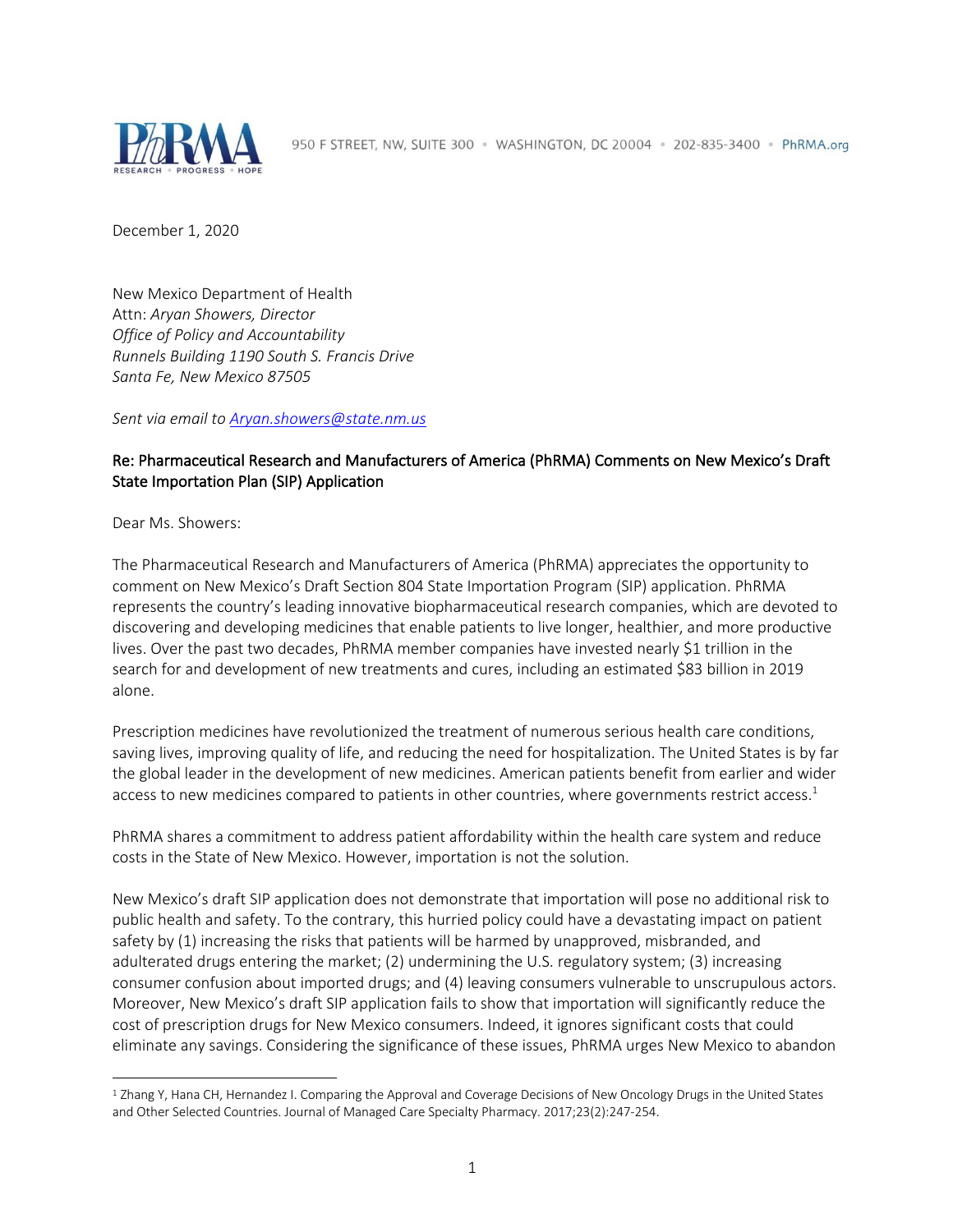

December 1, 2020

New Mexico Department of Health Attn: *Aryan Showers, Director Office of Policy and Accountability Runnels Building 1190 South S. Francis Drive Santa Fe, New Mexico 87505*

*Sent via email to Aryan.showers@state.nm.us*

### Re: Pharmaceutical Research and Manufacturers of America (PhRMA) Comments on New Mexico's Draft State Importation Plan (SIP) Application

Dear Ms. Showers:

The Pharmaceutical Research and Manufacturers of America (PhRMA) appreciates the opportunity to comment on New Mexico's Draft Section 804 State Importation Program (SIP) application. PhRMA represents the country's leading innovative biopharmaceutical research companies, which are devoted to discovering and developing medicines that enable patients to live longer, healthier, and more productive lives. Over the past two decades, PhRMA member companies have invested nearly \$1 trillion in the search for and development of new treatments and cures, including an estimated \$83 billion in 2019 alone.

Prescription medicines have revolutionized the treatment of numerous serious health care conditions, saving lives, improving quality of life, and reducing the need for hospitalization. The United States is by far the global leader in the development of new medicines. American patients benefit from earlier and wider access to new medicines compared to patients in other countries, where governments restrict access.<sup>1</sup>

PhRMA shares a commitment to address patient affordability within the health care system and reduce costs in the State of New Mexico. However, importation is not the solution.

New Mexico's draft SIP application does not demonstrate that importation will pose no additional risk to public health and safety. To the contrary, this hurried policy could have a devastating impact on patient safety by (1) increasing the risks that patients will be harmed by unapproved, misbranded, and adulterated drugs entering the market; (2) undermining the U.S. regulatory system; (3) increasing consumer confusion about imported drugs; and (4) leaving consumers vulnerable to unscrupulous actors. Moreover, New Mexico's draft SIP application fails to show that importation will significantly reduce the cost of prescription drugs for New Mexico consumers. Indeed, it ignores significant costs that could eliminate any savings. Considering the significance of these issues, PhRMA urges New Mexico to abandon

<sup>1</sup> Zhang Y, Hana CH, Hernandez I. Comparing the Approval and Coverage Decisions of New Oncology Drugs in the United States and Other Selected Countries. Journal of Managed Care Specialty Pharmacy. 2017;23(2):247-254.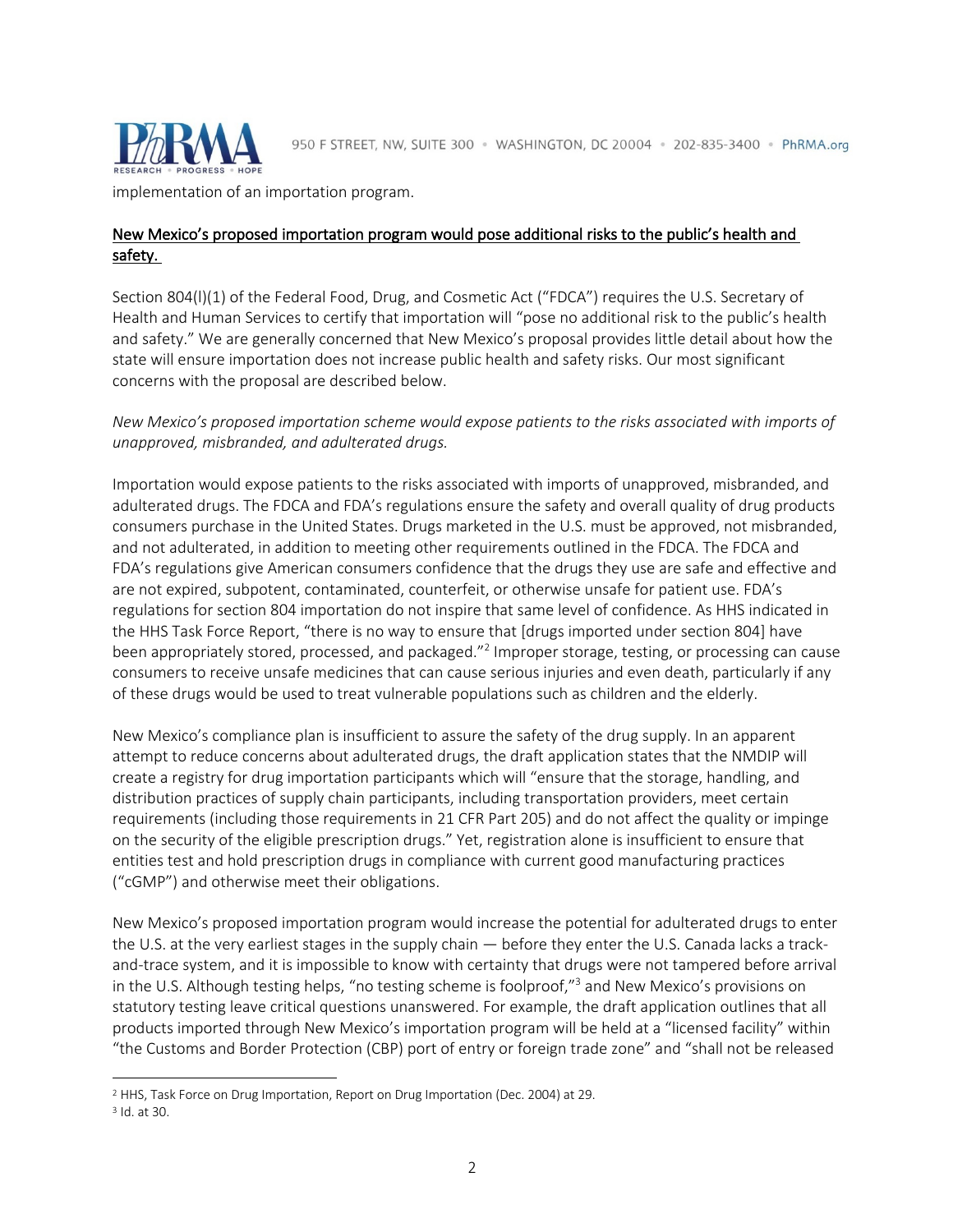

implementation of an importation program.

# New Mexico's proposed importation program would pose additional risks to the public's health and safety.

Section 804(l)(1) of the Federal Food, Drug, and Cosmetic Act ("FDCA") requires the U.S. Secretary of Health and Human Services to certify that importation will "pose no additional risk to the public's health and safety." We are generally concerned that New Mexico's proposal provides little detail about how the state will ensure importation does not increase public health and safety risks. Our most significant concerns with the proposal are described below.

### *New Mexico's proposed importation scheme would expose patients to the risks associated with imports of unapproved, misbranded, and adulterated drugs.*

Importation would expose patients to the risks associated with imports of unapproved, misbranded, and adulterated drugs. The FDCA and FDA's regulations ensure the safety and overall quality of drug products consumers purchase in the United States. Drugs marketed in the U.S. must be approved, not misbranded, and not adulterated, in addition to meeting other requirements outlined in the FDCA. The FDCA and FDA's regulations give American consumers confidence that the drugs they use are safe and effective and are not expired, subpotent, contaminated, counterfeit, or otherwise unsafe for patient use. FDA's regulations for section 804 importation do not inspire that same level of confidence. As HHS indicated in the HHS Task Force Report, "there is no way to ensure that [drugs imported under section 804] have been appropriately stored, processed, and packaged."<sup>2</sup> Improper storage, testing, or processing can cause consumers to receive unsafe medicines that can cause serious injuries and even death, particularly if any of these drugs would be used to treat vulnerable populations such as children and the elderly.

New Mexico's compliance plan is insufficient to assure the safety of the drug supply. In an apparent attempt to reduce concerns about adulterated drugs, the draft application states that the NMDIP will create a registry for drug importation participants which will "ensure that the storage, handling, and distribution practices of supply chain participants, including transportation providers, meet certain requirements (including those requirements in 21 CFR Part 205) and do not affect the quality or impinge on the security of the eligible prescription drugs." Yet, registration alone is insufficient to ensure that entities test and hold prescription drugs in compliance with current good manufacturing practices ("cGMP") and otherwise meet their obligations.

New Mexico's proposed importation program would increase the potential for adulterated drugs to enter the U.S. at the very earliest stages in the supply chain — before they enter the U.S. Canada lacks a trackand-trace system, and it is impossible to know with certainty that drugs were not tampered before arrival in the U.S. Although testing helps, "no testing scheme is foolproof,"<sup>3</sup> and New Mexico's provisions on statutory testing leave critical questions unanswered. For example, the draft application outlines that all products imported through New Mexico's importation program will be held at a "licensed facility" within "the Customs and Border Protection (CBP) port of entry or foreign trade zone" and "shall not be released

<sup>2</sup> HHS, Task Force on Drug Importation, Report on Drug Importation (Dec. 2004) at 29.

<sup>3</sup> Id. at 30.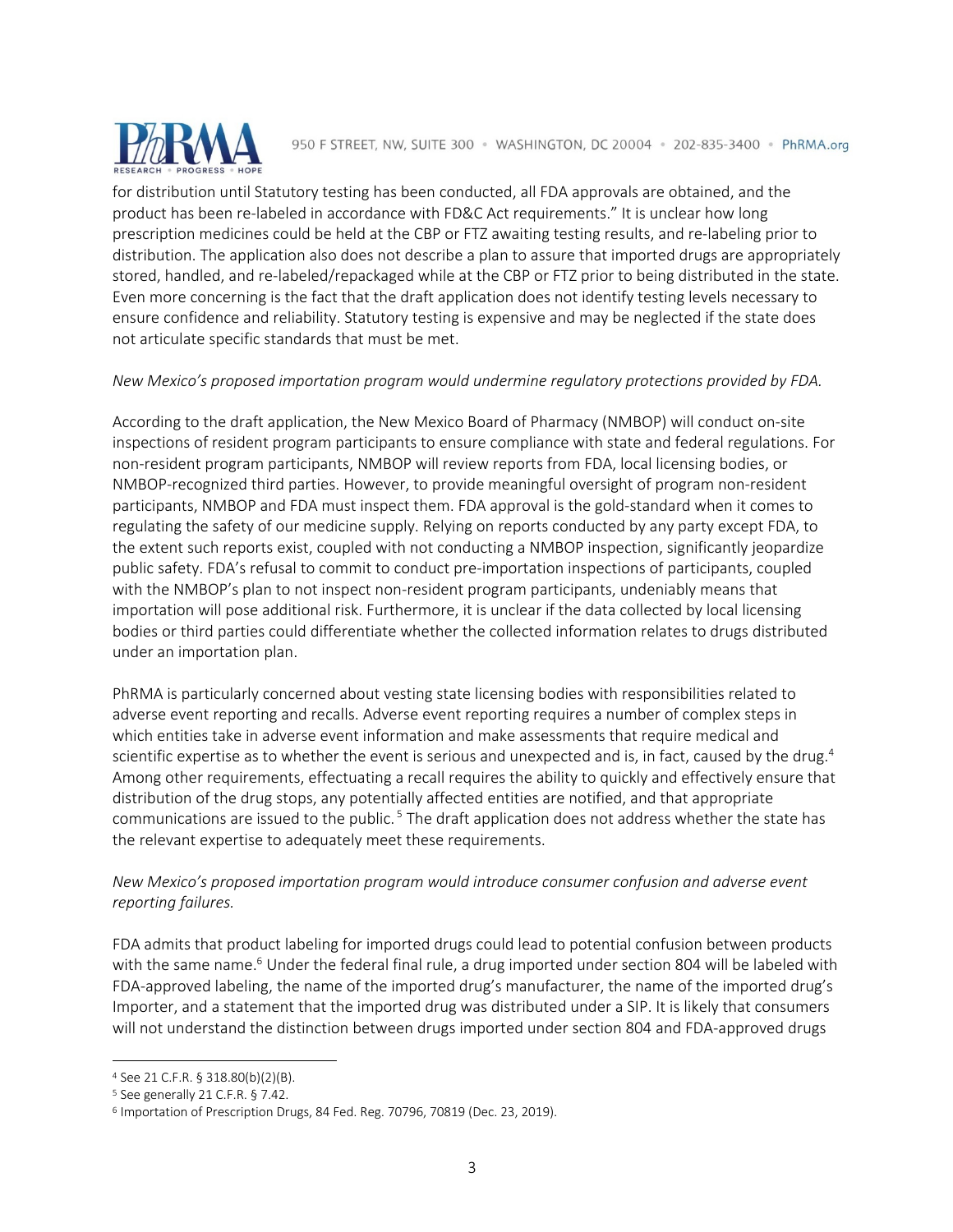

for distribution until Statutory testing has been conducted, all FDA approvals are obtained, and the product has been re-labeled in accordance with FD&C Act requirements." It is unclear how long prescription medicines could be held at the CBP or FTZ awaiting testing results, and re-labeling prior to distribution. The application also does not describe a plan to assure that imported drugs are appropriately stored, handled, and re-labeled/repackaged while at the CBP or FTZ prior to being distributed in the state. Even more concerning is the fact that the draft application does not identify testing levels necessary to ensure confidence and reliability. Statutory testing is expensive and may be neglected if the state does not articulate specific standards that must be met.

#### *New Mexico's proposed importation program would undermine regulatory protections provided by FDA.*

According to the draft application, the New Mexico Board of Pharmacy (NMBOP) will conduct on-site inspections of resident program participants to ensure compliance with state and federal regulations. For non-resident program participants, NMBOP will review reports from FDA, local licensing bodies, or NMBOP-recognized third parties. However, to provide meaningful oversight of program non-resident participants, NMBOP and FDA must inspect them. FDA approval is the gold-standard when it comes to regulating the safety of our medicine supply. Relying on reports conducted by any party except FDA, to the extent such reports exist, coupled with not conducting a NMBOP inspection, significantly jeopardize public safety. FDA's refusal to commit to conduct pre-importation inspections of participants, coupled with the NMBOP's plan to not inspect non-resident program participants, undeniably means that importation will pose additional risk. Furthermore, it is unclear if the data collected by local licensing bodies or third parties could differentiate whether the collected information relates to drugs distributed under an importation plan.

PhRMA is particularly concerned about vesting state licensing bodies with responsibilities related to adverse event reporting and recalls. Adverse event reporting requires a number of complex steps in which entities take in adverse event information and make assessments that require medical and scientific expertise as to whether the event is serious and unexpected and is, in fact, caused by the drug.<sup>4</sup> Among other requirements, effectuating a recall requires the ability to quickly and effectively ensure that distribution of the drug stops, any potentially affected entities are notified, and that appropriate communications are issued to the public.<sup>5</sup> The draft application does not address whether the state has the relevant expertise to adequately meet these requirements.

### *New Mexico's proposed importation program would introduce consumer confusion and adverse event reporting failures.*

FDA admits that product labeling for imported drugs could lead to potential confusion between products with the same name.<sup>6</sup> Under the federal final rule, a drug imported under section 804 will be labeled with FDA-approved labeling, the name of the imported drug's manufacturer, the name of the imported drug's Importer, and a statement that the imported drug was distributed under a SIP. It is likely that consumers will not understand the distinction between drugs imported under section 804 and FDA-approved drugs

<sup>4</sup> See 21 C.F.R. § 318.80(b)(2)(B).

<sup>5</sup> See generally 21 C.F.R. § 7.42.

<sup>6</sup> Importation of Prescription Drugs, 84 Fed. Reg. 70796, 70819 (Dec. 23, 2019).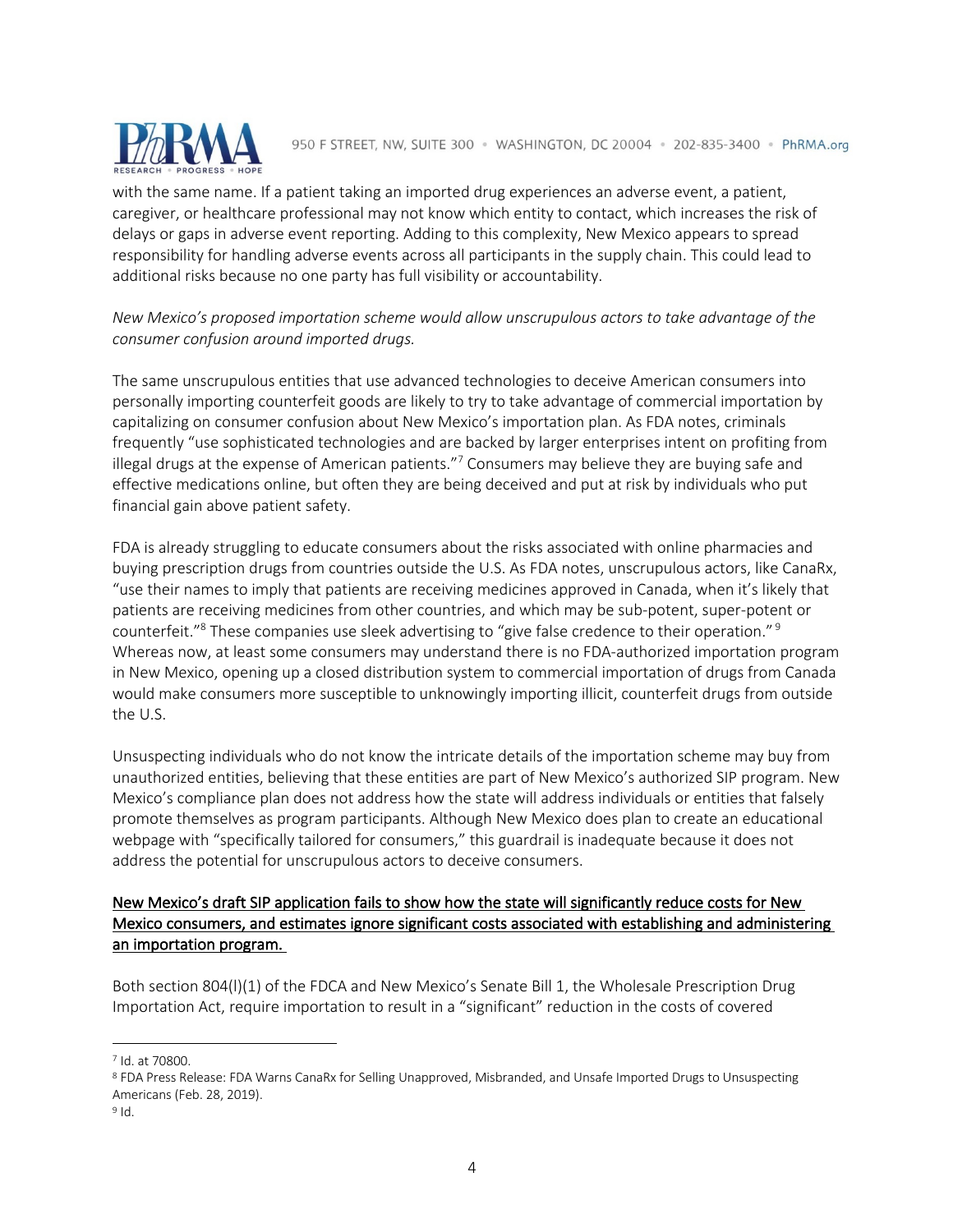

with the same name. If a patient taking an imported drug experiences an adverse event, a patient, caregiver, or healthcare professional may not know which entity to contact, which increases the risk of delays or gaps in adverse event reporting. Adding to this complexity, New Mexico appears to spread responsibility for handling adverse events across all participants in the supply chain. This could lead to additional risks because no one party has full visibility or accountability.

# *New Mexico's proposed importation scheme would allow unscrupulous actors to take advantage of the consumer confusion around imported drugs.*

The same unscrupulous entities that use advanced technologies to deceive American consumers into personally importing counterfeit goods are likely to try to take advantage of commercial importation by capitalizing on consumer confusion about New Mexico's importation plan. As FDA notes, criminals frequently "use sophisticated technologies and are backed by larger enterprises intent on profiting from illegal drugs at the expense of American patients."<sup>7</sup> Consumers may believe they are buying safe and effective medications online, but often they are being deceived and put at risk by individuals who put financial gain above patient safety.

FDA is already struggling to educate consumers about the risks associated with online pharmacies and buying prescription drugs from countries outside the U.S. As FDA notes, unscrupulous actors, like CanaRx, "use their names to imply that patients are receiving medicines approved in Canada, when it's likely that patients are receiving medicines from other countries, and which may be sub-potent, super-potent or counterfeit."8 These companies use sleek advertising to "give false credence to their operation." <sup>9</sup> Whereas now, at least some consumers may understand there is no FDA-authorized importation program in New Mexico, opening up a closed distribution system to commercial importation of drugs from Canada would make consumers more susceptible to unknowingly importing illicit, counterfeit drugs from outside the U.S.

Unsuspecting individuals who do not know the intricate details of the importation scheme may buy from unauthorized entities, believing that these entities are part of New Mexico's authorized SIP program. New Mexico's compliance plan does not address how the state will address individuals or entities that falsely promote themselves as program participants. Although New Mexico does plan to create an educational webpage with "specifically tailored for consumers," this guardrail is inadequate because it does not address the potential for unscrupulous actors to deceive consumers.

### New Mexico's draft SIP application fails to show how the state will significantly reduce costs for New Mexico consumers, and estimates ignore significant costs associated with establishing and administering an importation program.

Both section 804(l)(1) of the FDCA and New Mexico's Senate Bill 1, the Wholesale Prescription Drug Importation Act, require importation to result in a "significant" reduction in the costs of covered

<sup>7</sup> Id. at 70800.

<sup>8</sup> FDA Press Release: FDA Warns CanaRx for Selling Unapproved, Misbranded, and Unsafe Imported Drugs to Unsuspecting Americans (Feb. 28, 2019).

<sup>9</sup> Id.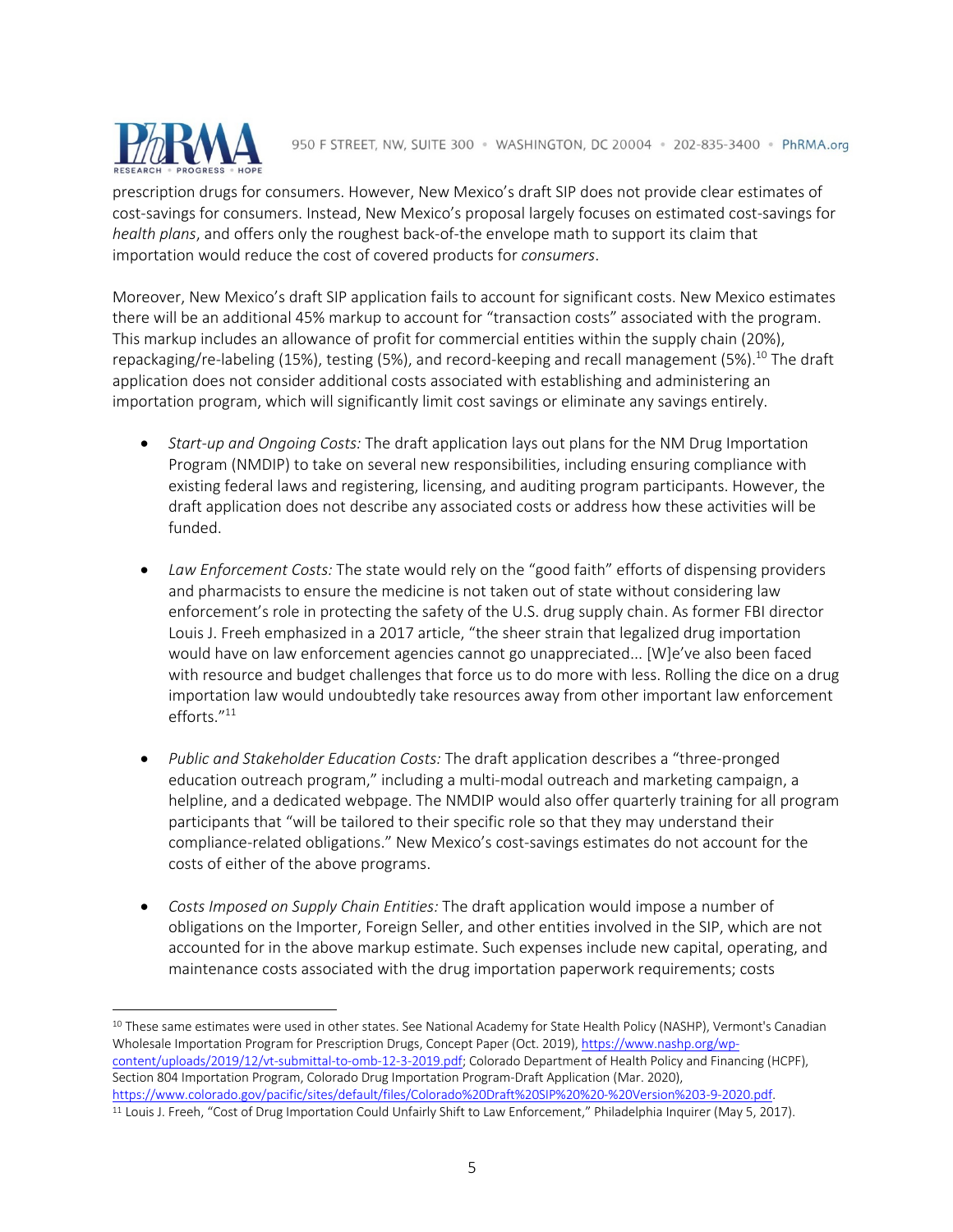

prescription drugs for consumers. However, New Mexico's draft SIP does not provide clear estimates of cost-savings for consumers. Instead, New Mexico's proposal largely focuses on estimated cost-savings for *health plans*, and offers only the roughest back-of-the envelope math to support its claim that importation would reduce the cost of covered products for *consumers*.

Moreover, New Mexico's draft SIP application fails to account for significant costs. New Mexico estimates there will be an additional 45% markup to account for "transaction costs" associated with the program. This markup includes an allowance of profit for commercial entities within the supply chain (20%), repackaging/re-labeling (15%), testing (5%), and record-keeping and recall management (5%).<sup>10</sup> The draft application does not consider additional costs associated with establishing and administering an importation program, which will significantly limit cost savings or eliminate any savings entirely.

- *Start-up and Ongoing Costs:* The draft application lays out plans for the NM Drug Importation Program (NMDIP) to take on several new responsibilities, including ensuring compliance with existing federal laws and registering, licensing, and auditing program participants. However, the draft application does not describe any associated costs or address how these activities will be funded.
- *Law Enforcement Costs:* The state would rely on the "good faith" efforts of dispensing providers and pharmacists to ensure the medicine is not taken out of state without considering law enforcement's role in protecting the safety of the U.S. drug supply chain. As former FBI director Louis J. Freeh emphasized in a 2017 article, "the sheer strain that legalized drug importation would have on law enforcement agencies cannot go unappreciated... [W]e've also been faced with resource and budget challenges that force us to do more with less. Rolling the dice on a drug importation law would undoubtedly take resources away from other important law enforcement efforts."11
- *Public and Stakeholder Education Costs:* The draft application describes a "three-pronged education outreach program," including a multi-modal outreach and marketing campaign, a helpline, and a dedicated webpage. The NMDIP would also offer quarterly training for all program participants that "will be tailored to their specific role so that they may understand their compliance-related obligations." New Mexico's cost-savings estimates do not account for the costs of either of the above programs.
- *Costs Imposed on Supply Chain Entities:* The draft application would impose a number of obligations on the Importer, Foreign Seller, and other entities involved in the SIP, which are not accounted for in the above markup estimate. Such expenses include new capital, operating, and maintenance costs associated with the drug importation paperwork requirements; costs

<sup>&</sup>lt;sup>10</sup> These same estimates were used in other states. See National Academy for State Health Policy (NASHP), Vermont's Canadian Wholesale Importation Program for Prescription Drugs, Concept Paper (Oct. 2019), https://www.nashp.org/wpcontent/uploads/2019/12/vt-submittal-to-omb-12-3-2019.pdf; Colorado Department of Health Policy and Financing (HCPF), Section 804 Importation Program, Colorado Drug Importation Program-Draft Application (Mar. 2020), https://www.colorado.gov/pacific/sites/default/files/Colorado%20Draft%20SIP%20%20-%20Version%203-9-2020.pdf.

<sup>11</sup> Louis J. Freeh, "Cost of Drug Importation Could Unfairly Shift to Law Enforcement," Philadelphia Inquirer (May 5, 2017).